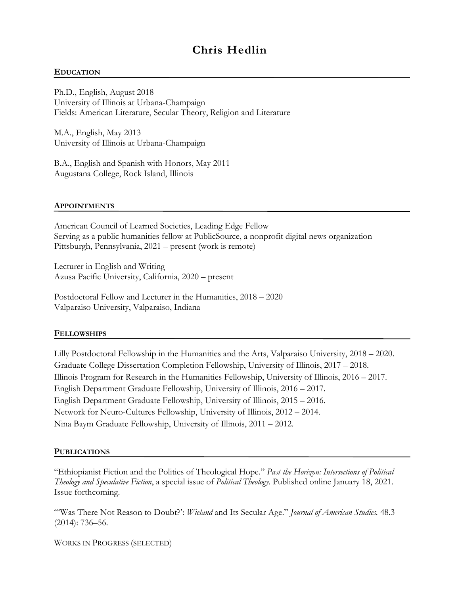# **Chris Hedlin**

#### **EDUCATION**

Ph.D., English, August 2018 University of Illinois at Urbana-Champaign Fields: American Literature, Secular Theory, Religion and Literature

M.A., English, May 2013 University of Illinois at Urbana-Champaign

B.A., English and Spanish with Honors, May 2011 Augustana College, Rock Island, Illinois

#### **APPOINTMENTS**

American Council of Learned Societies, Leading Edge Fellow Serving as a public humanities fellow at PublicSource, a nonprofit digital news organization Pittsburgh, Pennsylvania, 2021 – present (work is remote)

Lecturer in English and Writing Azusa Pacific University, California, 2020 – present

Postdoctoral Fellow and Lecturer in the Humanities, 2018 – 2020 Valparaiso University, Valparaiso, Indiana

#### **FELLOWSHIPS**

Lilly Postdoctoral Fellowship in the Humanities and the Arts, Valparaiso University, 2018 – 2020. Graduate College Dissertation Completion Fellowship, University of Illinois, 2017 – 2018. Illinois Program for Research in the Humanities Fellowship, University of Illinois, 2016 – 2017. English Department Graduate Fellowship, University of Illinois, 2016 – 2017. English Department Graduate Fellowship, University of Illinois, 2015 – 2016. Network for Neuro-Cultures Fellowship, University of Illinois, 2012 – 2014. Nina Baym Graduate Fellowship, University of Illinois, 2011 – 2012.

#### **PUBLICATIONS**

"Ethiopianist Fiction and the Politics of Theological Hope." *Past the Horizon: Intersections of Political Theology and Speculative Fiction*, a special issue of *Political Theology.* Published online January 18, 2021. Issue forthcoming.

"'Was There Not Reason to Doubt?': *Wieland* and Its Secular Age." *Journal of American Studies.* 48.3 (2014): 736–56.

WORKS IN PROGRESS (SELECTED)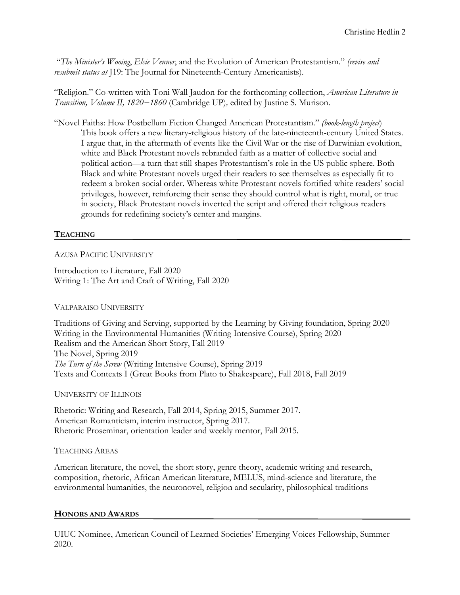"*The Minister's Wooing*, *Elsie Venner*, and the Evolution of American Protestantism." *(revise and resubmit status at* J19: The Journal for Nineteenth-Century Americanists).

"Religion." Co-written with Toni Wall Jaudon for the forthcoming collection, *American Literature in Transition, Volume II, 1820−1860* (Cambridge UP)*,* edited by Justine S. Murison.

"Novel Faiths: How Postbellum Fiction Changed American Protestantism." *(book-length project*) This book offers a new literary-religious history of the late-nineteenth-century United States. I argue that, in the aftermath of events like the Civil War or the rise of Darwinian evolution, white and Black Protestant novels rebranded faith as a matter of collective social and political action—a turn that still shapes Protestantism's role in the US public sphere. Both Black and white Protestant novels urged their readers to see themselves as especially fit to redeem a broken social order. Whereas white Protestant novels fortified white readers' social privileges, however, reinforcing their sense they should control what is right, moral, or true in society, Black Protestant novels inverted the script and offered their religious readers grounds for redefining society's center and margins.

# **TEACHING**

## AZUSA PACIFIC UNIVERSITY

Introduction to Literature, Fall 2020 Writing 1: The Art and Craft of Writing, Fall 2020

## VALPARAISO UNIVERSITY

Traditions of Giving and Serving, supported by the Learning by Giving foundation, Spring 2020 Writing in the Environmental Humanities (Writing Intensive Course), Spring 2020 Realism and the American Short Story, Fall 2019 The Novel, Spring 2019 *The Turn of the Screw* (Writing Intensive Course), Spring 2019 Texts and Contexts I (Great Books from Plato to Shakespeare), Fall 2018, Fall 2019

#### UNIVERSITY OF ILLINOIS

Rhetoric: Writing and Research, Fall 2014, Spring 2015, Summer 2017. American Romanticism, interim instructor, Spring 2017. Rhetoric Proseminar, orientation leader and weekly mentor, Fall 2015.

## TEACHING AREAS

American literature, the novel, the short story, genre theory, academic writing and research, composition, rhetoric, African American literature, MELUS, mind-science and literature, the environmental humanities, the neuronovel, religion and secularity, philosophical traditions

## **HONORS AND AWARDS**

UIUC Nominee, American Council of Learned Societies' Emerging Voices Fellowship, Summer 2020.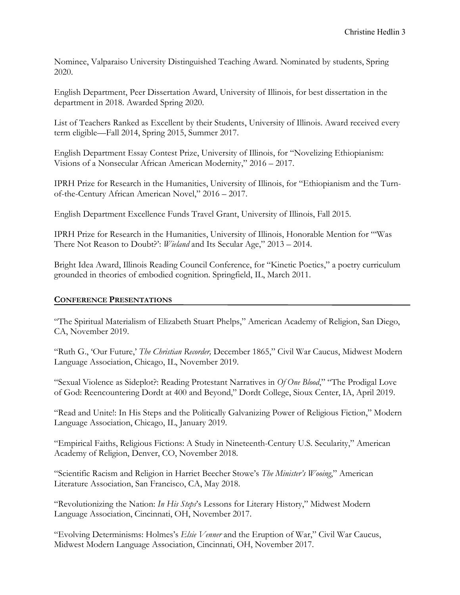Nominee, Valparaiso University Distinguished Teaching Award. Nominated by students, Spring 2020.

English Department, Peer Dissertation Award, University of Illinois, for best dissertation in the department in 2018. Awarded Spring 2020.

List of Teachers Ranked as Excellent by their Students, University of Illinois. Award received every term eligible—Fall 2014, Spring 2015, Summer 2017.

English Department Essay Contest Prize, University of Illinois, for "Novelizing Ethiopianism: Visions of a Nonsecular African American Modernity," 2016 – 2017.

IPRH Prize for Research in the Humanities, University of Illinois, for "Ethiopianism and the Turnof-the-Century African American Novel," 2016 – 2017.

English Department Excellence Funds Travel Grant, University of Illinois, Fall 2015.

IPRH Prize for Research in the Humanities, University of Illinois, Honorable Mention for "'Was There Not Reason to Doubt?': *Wieland* and Its Secular Age," 2013 – 2014.

Bright Idea Award, Illinois Reading Council Conference, for "Kinetic Poetics," a poetry curriculum grounded in theories of embodied cognition. Springfield, IL, March 2011.

## **CONFERENCE PRESENTATIONS**

"The Spiritual Materialism of Elizabeth Stuart Phelps," American Academy of Religion, San Diego, CA, November 2019.

"Ruth G., 'Our Future,' *The Christian Recorder,* December 1865," Civil War Caucus, Midwest Modern Language Association, Chicago, IL, November 2019.

"Sexual Violence as Sideplot?: Reading Protestant Narratives in *Of One Blood*," "The Prodigal Love of God: Reencountering Dordt at 400 and Beyond," Dordt College, Sioux Center, IA, April 2019.

"Read and Unite!: In His Steps and the Politically Galvanizing Power of Religious Fiction," Modern Language Association, Chicago, IL, January 2019.

"Empirical Faiths, Religious Fictions: A Study in Nineteenth-Century U.S. Secularity," American Academy of Religion, Denver, CO, November 2018.

"Scientific Racism and Religion in Harriet Beecher Stowe's *The Minister's Wooing*," American Literature Association, San Francisco, CA, May 2018.

"Revolutionizing the Nation: *In His Steps*'s Lessons for Literary History," Midwest Modern Language Association, Cincinnati, OH, November 2017.

"Evolving Determinisms: Holmes's *Elsie Venner* and the Eruption of War," Civil War Caucus, Midwest Modern Language Association, Cincinnati, OH, November 2017.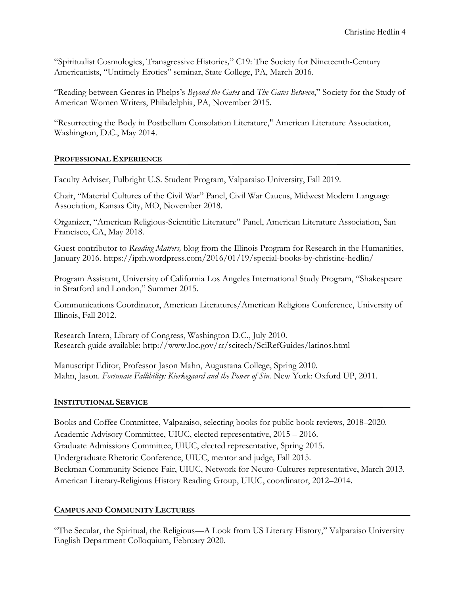"Spiritualist Cosmologies, Transgressive Histories*,*" C19: The Society for Nineteenth-Century Americanists, "Untimely Erotics" seminar, State College, PA, March 2016.

"Reading between Genres in Phelps's *Beyond the Gates* and *The Gates Between*," Society for the Study of American Women Writers, Philadelphia, PA, November 2015.

"Resurrecting the Body in Postbellum Consolation Literature," American Literature Association, Washington, D.C., May 2014.

## **PROFESSIONAL EXPERIENCE**

Faculty Adviser, Fulbright U.S. Student Program, Valparaiso University, Fall 2019.

Chair, "Material Cultures of the Civil War" Panel, Civil War Caucus, Midwest Modern Language Association, Kansas City, MO, November 2018.

Organizer, "American Religious-Scientific Literature" Panel, American Literature Association, San Francisco, CA, May 2018.

Guest contributor to *Reading Matters,* blog from the Illinois Program for Research in the Humanities, January 2016. https://iprh.wordpress.com/2016/01/19/special-books-by-christine-hedlin/

Program Assistant, University of California Los Angeles International Study Program, "Shakespeare in Stratford and London," Summer 2015.

Communications Coordinator, American Literatures/American Religions Conference, University of Illinois, Fall 2012.

Research Intern, Library of Congress, Washington D.C., July 2010. Research guide available: http://www.loc.gov/rr/scitech/SciRefGuides/latinos.html

Manuscript Editor, Professor Jason Mahn, Augustana College, Spring 2010. Mahn, Jason. *Fortunate Fallibility: Kierkegaard and the Power of Sin.* New York: Oxford UP, 2011.

## **INSTITUTIONAL SERVICE**

Books and Coffee Committee, Valparaiso, selecting books for public book reviews, 2018–2020. Academic Advisory Committee, UIUC, elected representative, 2015 – 2016. Graduate Admissions Committee, UIUC, elected representative, Spring 2015. Undergraduate Rhetoric Conference, UIUC, mentor and judge, Fall 2015. Beckman Community Science Fair, UIUC, Network for Neuro-Cultures representative, March 2013. American Literary-Religious History Reading Group, UIUC, coordinator, 2012–2014.

## **CAMPUS AND COMMUNITY LECTURES**

"The Secular, the Spiritual, the Religious—A Look from US Literary History," Valparaiso University English Department Colloquium, February 2020.